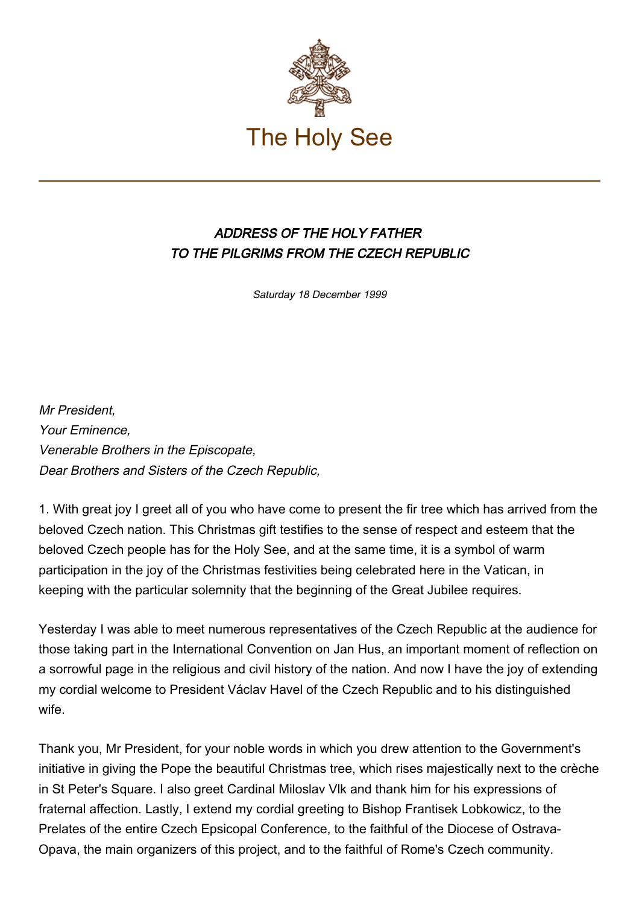

## ADDRESS OF THE HOLY FATHER TO THE PILGRIMS FROM THE CZECH REPUBLIC

Saturday 18 December 1999

Mr President, Your Eminence, Venerable Brothers in the Episcopate, Dear Brothers and Sisters of the Czech Republic,

1. With great joy I greet all of you who have come to present the fir tree which has arrived from the beloved Czech nation. This Christmas gift testifies to the sense of respect and esteem that the beloved Czech people has for the Holy See, and at the same time, it is a symbol of warm participation in the joy of the Christmas festivities being celebrated here in the Vatican, in keeping with the particular solemnity that the beginning of the Great Jubilee requires.

Yesterday I was able to meet numerous representatives of the Czech Republic at the audience for those taking part in the International Convention on Jan Hus, an important moment of reflection on a sorrowful page in the religious and civil history of the nation. And now I have the joy of extending my cordial welcome to President Václav Havel of the Czech Republic and to his distinguished wife.

Thank you, Mr President, for your noble words in which you drew attention to the Government's initiative in giving the Pope the beautiful Christmas tree, which rises majestically next to the crèche in St Peter's Square. I also greet Cardinal Miloslav Vlk and thank him for his expressions of fraternal affection. Lastly, I extend my cordial greeting to Bishop Frantisek Lobkowicz, to the Prelates of the entire Czech Epsicopal Conference, to the faithful of the Diocese of Ostrava-Opava, the main organizers of this project, and to the faithful of Rome's Czech community.